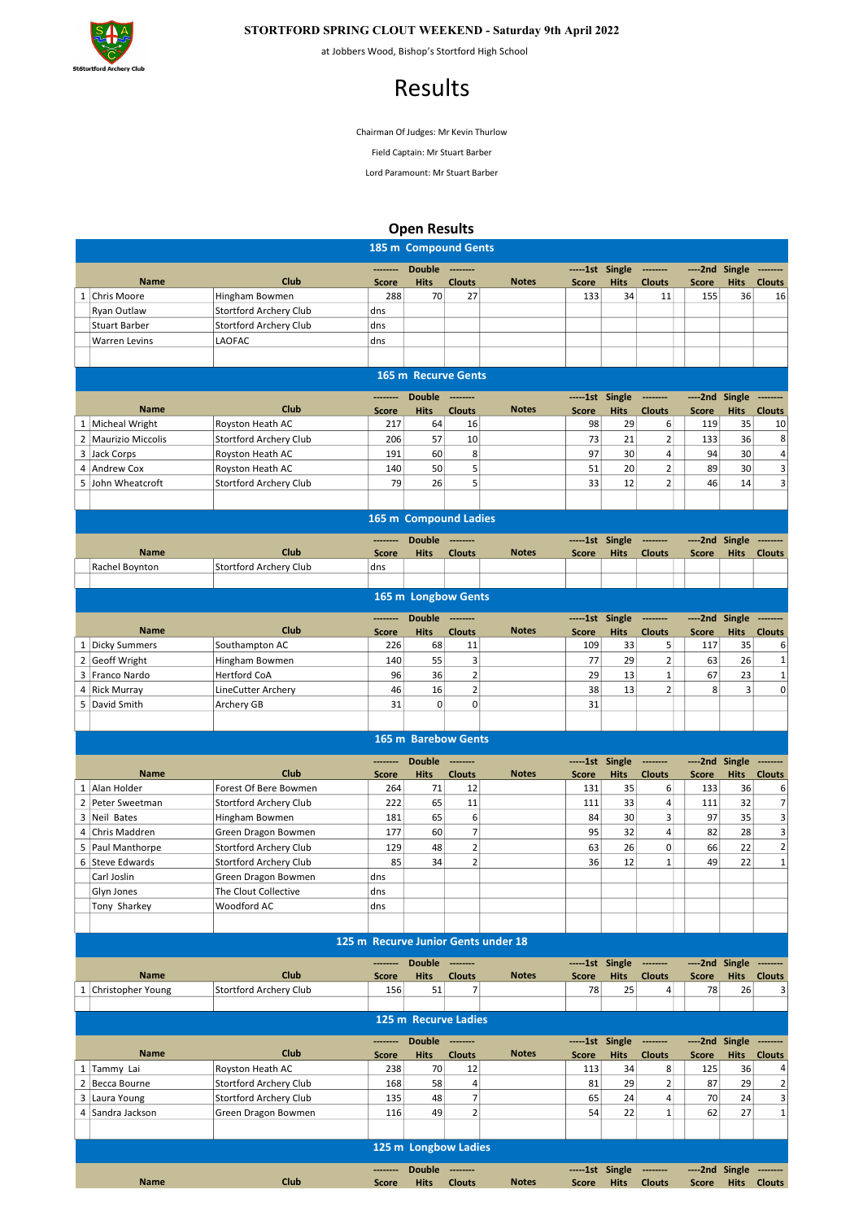

## STORTFORD SPRING CLOUT WEEKEND - Saturday 9th April 2022

at Jobbers Wood, Bishop's Stortford High School

## Results

Chairman Of Judges: Mr Kevin Thurlow

Field Captain: Mr Stuart Barber

Lord Paramount: Mr Stuart Barber

## Open Results

|                |                                     |                                          |                     | 185 m Compound Gents         |                     |                                     |                          |                            |                           |                         |                       |                     |
|----------------|-------------------------------------|------------------------------------------|---------------------|------------------------------|---------------------|-------------------------------------|--------------------------|----------------------------|---------------------------|-------------------------|-----------------------|---------------------|
|                |                                     |                                          | ---------           | <b>Double</b>                | ---------           |                                     | -----1st Single          |                            | --------                  | ----2nd Single          |                       |                     |
|                | <b>Name</b>                         | Club                                     | <b>Score</b>        | <b>Hits</b>                  | <b>Clouts</b>       | <b>Notes</b>                        | <b>Score</b>             | <b>Hits</b>                | <b>Clouts</b>             | <b>Score</b>            | <b>Hits</b>           | <b>Clouts</b>       |
|                | 1 Chris Moore                       | Hingham Bowmen<br>Stortford Archery Club | 288<br>dns          | 70                           | 27                  |                                     | 133                      | 34                         | 11                        | 155                     | 36                    | 16                  |
|                | Ryan Outlaw<br><b>Stuart Barber</b> | <b>Stortford Archery Club</b>            | dns                 |                              |                     |                                     |                          |                            |                           |                         |                       |                     |
|                | <b>Warren Levins</b>                | LAOFAC                                   | dns                 |                              |                     |                                     |                          |                            |                           |                         |                       |                     |
|                |                                     |                                          |                     |                              |                     |                                     |                          |                            |                           |                         |                       |                     |
|                |                                     |                                          |                     |                              |                     |                                     |                          |                            |                           |                         |                       |                     |
|                |                                     |                                          |                     | 165 m Recurve Gents          |                     |                                     |                          |                            |                           |                         |                       |                     |
|                |                                     | Club                                     |                     | <b>Double</b>                |                     |                                     | ------1st                | Single                     | --------                  | $---2nd$                | Single                |                     |
|                | <b>Name</b><br>1 Micheal Wright     | Royston Heath AC                         | <b>Score</b><br>217 | <b>Hits</b><br>64            | <b>Clouts</b><br>16 | <b>Notes</b>                        | <b>Score</b><br>98       | <b>Hits</b><br>29          | <b>Clouts</b><br>6        | <b>Score</b><br>119     | <b>Hits</b><br>35     | <b>Clouts</b><br>10 |
|                | 2 Maurizio Miccolis                 | Stortford Archery Club                   | 206                 | 57                           | 10                  |                                     | 73                       | 21                         | $\overline{\mathbf{c}}$   | 133                     | 36                    | 8                   |
| 3              | Jack Corps                          | Royston Heath AC                         | 191                 | 60                           | 8                   |                                     | 97                       | 30                         | $\vert 4 \vert$           | 94                      | 30                    | 4                   |
|                | 4 Andrew Cox                        | Royston Heath AC                         | 140                 | 50                           | $\overline{5}$      |                                     | 51                       | 20                         | $\overline{2}$            | 89                      | 30                    | 3                   |
|                | 5 John Wheatcroft                   | Stortford Archery Club                   | 79                  | 26                           | 5 <sup>1</sup>      |                                     | 33                       | 12                         | $\overline{2}$            | 46                      | 14                    | 3                   |
|                |                                     |                                          |                     |                              |                     |                                     |                          |                            |                           |                         |                       |                     |
|                |                                     |                                          |                     | 165 m Compound Ladies        |                     |                                     |                          |                            |                           |                         |                       |                     |
|                |                                     |                                          |                     |                              |                     |                                     |                          |                            |                           |                         |                       |                     |
|                | <b>Name</b>                         | Club                                     | <b>Score</b>        | <b>Double</b><br><b>Hits</b> | <b>Clouts</b>       | <b>Notes</b>                        | -----1st<br><b>Score</b> | Single<br><b>Hits</b>      | --------<br><b>Clouts</b> | ----2nd<br><b>Score</b> | Single<br><b>Hits</b> | <b>Clouts</b>       |
|                | Rachel Boynton                      | Stortford Archery Club                   | dns                 |                              |                     |                                     |                          |                            |                           |                         |                       |                     |
|                |                                     |                                          |                     |                              |                     |                                     |                          |                            |                           |                         |                       |                     |
|                |                                     |                                          |                     | 165 m Longbow Gents          |                     |                                     |                          |                            |                           |                         |                       |                     |
|                |                                     |                                          | ---------           | <b>Double</b>                | ---------           |                                     | -----1st Single          |                            | --------                  | ----2nd Single          |                       | -----               |
|                | <b>Name</b>                         | Club                                     | <b>Score</b>        | <b>Hits</b>                  | <b>Clouts</b>       | <b>Notes</b>                        | <b>Score</b>             | <b>Hits</b>                | <b>Clouts</b>             | <b>Score</b>            | <b>Hits</b>           | <b>Clouts</b>       |
|                | 1 Dicky Summers                     | Southampton AC                           | 226                 | 68                           | 11                  |                                     | 109                      | 33                         | 5                         | 117                     | 35                    | 6                   |
| $\overline{2}$ | <b>Geoff Wright</b>                 | Hingham Bowmen                           | 140                 | 55                           | $\overline{3}$      |                                     | 77                       | 29                         | $\overline{2}$            | 63                      | 26                    | 1                   |
|                | 3 Franco Nardo                      | <b>Hertford CoA</b>                      | 96                  | 36                           | $\overline{2}$      |                                     | 29                       | 13                         | $\mathbf 1$               | 67                      | 23                    | 1                   |
| 4              | <b>Rick Murray</b>                  | LineCutter Archery                       | 46                  | 16                           | $\overline{2}$      |                                     | 38                       | 13                         | $\overline{2}$            | 8                       | 3                     | 0                   |
|                | 5 David Smith                       | Archery GB                               | 31                  | 0                            | $\Omega$            |                                     | 31                       |                            |                           |                         |                       |                     |
|                |                                     |                                          |                     |                              |                     |                                     |                          |                            |                           |                         |                       |                     |
|                |                                     |                                          |                     | 165 m Barebow Gents          |                     |                                     |                          |                            |                           |                         |                       |                     |
|                |                                     |                                          |                     | <b>Double</b>                |                     |                                     | -----1st Single          |                            | --------                  | ----2nd Single          |                       |                     |
|                | <b>Name</b>                         | Club                                     | Score               | <b>Hits</b>                  | <b>Clouts</b>       | <b>Notes</b>                        | Score                    | <b>Hits</b>                | <b>Clouts</b>             | <b>Score</b>            | <b>Hits</b>           | <b>Clouts</b>       |
|                | 1 Alan Holder                       | Forest Of Bere Bowmen                    | 264                 | 71                           | 12                  |                                     | 131                      | 35                         | 6                         | 133                     | 36                    | 6                   |
| $\overline{2}$ | Peter Sweetman                      | Stortford Archery Club                   | 222                 | 65                           | 11                  |                                     | 111                      | 33                         | 4                         | 111                     | 32                    | $\overline{7}$      |
|                | 3 Neil Bates                        | Hingham Bowmen                           | 181                 | 65                           | $6 \overline{6}$    |                                     | 84                       | 30                         | 3                         | 97                      | 35                    | 3                   |
| 4              | Chris Maddren                       | Green Dragon Bowmen                      | 177                 | 60                           | 7 <sup>1</sup>      |                                     | 95                       | 32                         | 4                         | 82                      | 28                    | 3                   |
| 5              | <b>Paul Manthorpe</b>               | Stortford Archery Club                   | 129                 | 48                           | $\overline{2}$      |                                     | 63                       | 26                         | 0                         | 66                      | 22                    | $\overline{2}$      |
|                | 6 Steve Edwards                     | Stortford Archery Club                   | 85                  | 34                           | $\overline{2}$      |                                     | 36                       | 12                         | $\mathbf{1}$              | 49                      | 22                    | $\mathbf 1$         |
|                | Carl Joslin                         | Green Dragon Bowmen                      | dns                 |                              |                     |                                     |                          |                            |                           |                         |                       |                     |
|                | Glyn Jones                          | The Clout Collective                     | dns                 |                              |                     |                                     |                          |                            |                           |                         |                       |                     |
|                | Tony Sharkey                        | Woodford AC                              | dns                 |                              |                     |                                     |                          |                            |                           |                         |                       |                     |
|                |                                     |                                          |                     |                              |                     |                                     |                          |                            |                           |                         |                       |                     |
|                |                                     |                                          |                     |                              |                     | 125 m Recurve Junior Gents under 18 |                          |                            |                           |                         |                       |                     |
|                |                                     |                                          |                     | <b>Double</b>                | ---------           |                                     |                          | ------1st Single --------- |                           | ----2nd Single -------- |                       |                     |
|                | <b>Name</b>                         | Club                                     | <b>Score</b>        | <b>Hits</b>                  | <b>Clouts</b>       | <b>Notes</b>                        | <b>Score</b>             | <b>Hits</b>                | <b>Clouts</b>             | <b>Score</b>            |                       | Hits Clouts         |
|                | 1 Christopher Young                 | Stortford Archery Club                   | 156                 | 51                           | 7                   |                                     | 78                       | 25                         | $\vert 4 \vert$           | 78                      | 26                    | з                   |
|                |                                     |                                          |                     |                              |                     |                                     |                          |                            |                           |                         |                       |                     |
|                |                                     |                                          |                     | 125 m Recurve Ladies         |                     |                                     |                          |                            |                           |                         |                       |                     |
|                |                                     |                                          | --------            | Double --------              |                     |                                     |                          | -----1st Single            | ---------                 | ----2nd Single -------- |                       |                     |
|                | <b>Name</b>                         | Club                                     | <b>Score</b>        | <b>Hits</b>                  | <b>Clouts</b>       | <b>Notes</b>                        | Score                    | <b>Hits</b>                | <b>Clouts</b>             | <b>Score</b>            |                       | <b>Hits</b> Clouts  |
|                | 1 Tammy Lai                         | Royston Heath AC                         | 238                 | 70                           | 12                  |                                     | 113                      | 34                         | 8 <sup>1</sup>            | 125                     | 36                    | 4                   |
|                | 2 Becca Bourne                      | Stortford Archery Club                   | 168                 | 58                           | 4                   |                                     | 81                       | 29                         | $\overline{2}$            | 87                      | 29                    | $\mathbf 2$         |
| 3              | Laura Young                         | Stortford Archery Club                   | 135                 | 48                           | $\overline{7}$      |                                     | 65                       | 24                         | 4                         | 70                      | 24                    | 3                   |
|                | 4 Sandra Jackson                    | Green Dragon Bowmen                      | 116                 | 49                           | 2                   |                                     | 54                       | 22                         | $\mathbf{1}$              | 62                      | 27                    | $\mathbf 1$         |
|                |                                     |                                          |                     |                              |                     |                                     |                          |                            |                           |                         |                       |                     |
|                |                                     |                                          |                     | 125 m Longbow Ladies         |                     |                                     |                          |                            |                           |                         |                       |                     |
|                |                                     |                                          |                     | <b>Double</b>                | ---------           |                                     |                          | -----1st Single            | --------                  | ----2nd Single -------- |                       |                     |
|                | <b>Name</b>                         | Club                                     | <b>Score</b>        | <b>Hits</b>                  | <b>Clouts</b>       | <b>Notes</b>                        | Score                    | <b>Hits</b>                | <b>Clouts</b>             | Score                   |                       | Hits Clouts         |